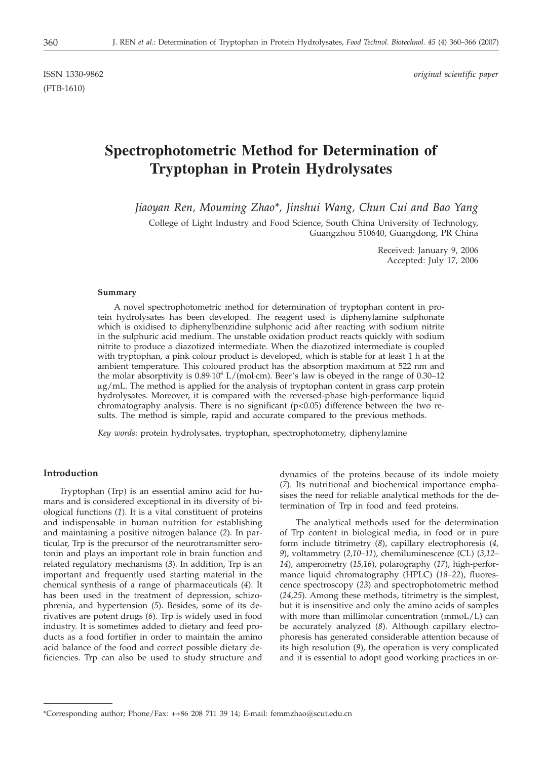(FTB-1610)

ISSN 1330-9862 *original scientific paper*

# **Spectrophotometric Method for Determination of Tryptophan in Protein Hydrolysates**

*Jiaoyan Ren, Mouming Zhao\*, Jinshui Wang, Chun Cui and Bao Yang*

College of Light Industry and Food Science, South China University of Technology, Guangzhou 510640, Guangdong, PR China

> Received: January 9, 2006 Accepted: July 17, 2006

## **Summary**

A novel spectrophotometric method for determination of tryptophan content in protein hydrolysates has been developed. The reagent used is diphenylamine sulphonate which is oxidised to diphenylbenzidine sulphonic acid after reacting with sodium nitrite in the sulphuric acid medium. The unstable oxidation product reacts quickly with sodium nitrite to produce a diazotized intermediate. When the diazotized intermediate is coupled with tryptophan, a pink colour product is developed, which is stable for at least 1 h at the ambient temperature. This coloured product has the absorption maximum at 522 nm and the molar absorptivity is  $0.89 \cdot 10^4$  L/(mol·cm). Beer's law is obeyed in the range of 0.30–12 mg/mL. The method is applied for the analysis of tryptophan content in grass carp protein hydrolysates. Moreover, it is compared with the reversed-phase high-performance liquid chromatography analysis. There is no significant  $(p<0.05)$  difference between the two results. The method is simple, rapid and accurate compared to the previous methods.

*Key words*: protein hydrolysates, tryptophan, spectrophotometry, diphenylamine

# **Introduction**

Tryptophan (Trp) is an essential amino acid for humans and is considered exceptional in its diversity of biological functions (*1*). It is a vital constituent of proteins and indispensable in human nutrition for establishing and maintaining a positive nitrogen balance (*2*). In particular, Trp is the precursor of the neurotransmitter serotonin and plays an important role in brain function and related regulatory mechanisms (*3*). In addition, Trp is an important and frequently used starting material in the chemical synthesis of a range of pharmaceuticals (*4*). It has been used in the treatment of depression, schizophrenia, and hypertension (*5*). Besides, some of its derivatives are potent drugs (*6*). Trp is widely used in food industry. It is sometimes added to dietary and feed products as a food fortifier in order to maintain the amino acid balance of the food and correct possible dietary deficiencies. Trp can also be used to study structure and dynamics of the proteins because of its indole moiety (*7*). Its nutritional and biochemical importance emphasises the need for reliable analytical methods for the determination of Trp in food and feed proteins.

The analytical methods used for the determination of Trp content in biological media, in food or in pure form include titrimetry (*8*), capillary electrophoresis (*4, 9*), voltammetry (*2,10–11*), chemiluminescence (CL) (*3,12– 14*)*,* amperometry (*15,16*), polarography (*17*), high-performance liquid chromatography (HPLC) (*18–22*), fluorescence spectroscopy (*23*) and spectrophotometric method (*24,25*). Among these methods, titrimetry is the simplest, but it is insensitive and only the amino acids of samples with more than millimolar concentration (mmoL/L) can be accurately analyzed (*8*). Although capillary electrophoresis has generated considerable attention because of its high resolution (*9*), the operation is very complicated and it is essential to adopt good working practices in or-

<sup>\*</sup>Corresponding author; Phone/Fax: ++86 208 711 39 14; E-mail: femmzhao@scut.edu.cn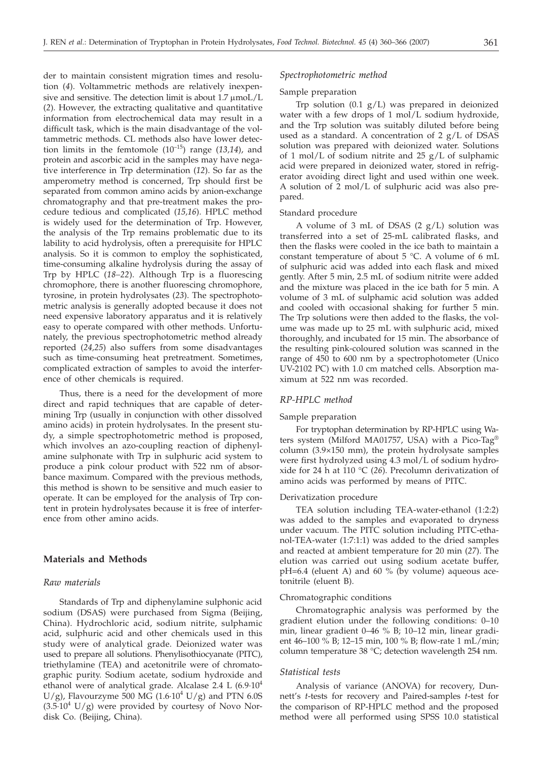der to maintain consistent migration times and resolution (*4*). Voltammetric methods are relatively inexpensive and sensitive. The detection limit is about  $1.7 \mu \text{mol/L}$ (*2*). However, the extracting qualitative and quantitative information from electrochemical data may result in a difficult task, which is the main disadvantage of the voltammetric methods. CL methods also have lower detection limits in the femtomole (10–15) range (*13,14*), and protein and ascorbic acid in the samples may have negative interference in Trp determination (*12*). So far as the amperometry method is concerned, Trp should first be separated from common amino acids by anion-exchange chromatography and that pre-treatment makes the procedure tedious and complicated (*15,16*). HPLC method is widely used for the determination of Trp. However, the analysis of the Trp remains problematic due to its lability to acid hydrolysis, often a prerequisite for HPLC analysis. So it is common to employ the sophisticated, time-consuming alkaline hydrolysis during the assay of Trp by HPLC (*18–22*). Although Trp is a fluorescing chromophore, there is another fluorescing chromophore, tyrosine, in protein hydrolysates (*23*). The spectrophotometric analysis is generally adopted because it does not need expensive laboratory apparatus and it is relatively easy to operate compared with other methods. Unfortunately, the previous spectrophotometric method already reported (*24,25*) also suffers from some disadvantages such as time-consuming heat pretreatment. Sometimes, complicated extraction of samples to avoid the interference of other chemicals is required.

Thus, there is a need for the development of more direct and rapid techniques that are capable of determining Trp (usually in conjunction with other dissolved amino acids) in protein hydrolysates. In the present study, a simple spectrophotometric method is proposed, which involves an azo-coupling reaction of diphenylamine sulphonate with Trp in sulphuric acid system to produce a pink colour product with 522 nm of absorbance maximum. Compared with the previous methods, this method is shown to be sensitive and much easier to operate. It can be employed for the analysis of Trp content in protein hydrolysates because it is free of interference from other amino acids.

# **Materials and Methods**

# *Raw materials*

Standards of Trp and diphenylamine sulphonic acid sodium (DSAS) were purchased from Sigma (Beijing, China). Hydrochloric acid, sodium nitrite, sulphamic acid, sulphuric acid and other chemicals used in this study were of analytical grade. Deionized water was used to prepare all solutions. Phenylisothiocyanate (PITC), triethylamine (TEA) and acetonitrile were of chromatographic purity. Sodium acetate, sodium hydroxide and ethanol were of analytical grade. Alcalase 2.4 L  $(6.9.10<sup>4</sup>$ U/g), Flavourzyme 500 MG (1.6 $\cdot 10^4$  U/g) and PTN 6.0S  $(3.5.10<sup>4</sup> U/g)$  were provided by courtesy of Novo Nordisk Co. (Beijing, China).

# *Spectrophotometric method*

## Sample preparation

Trp solution  $(0.1 \text{ g/L})$  was prepared in deionized water with a few drops of 1 mol/L sodium hydroxide, and the Trp solution was suitably diluted before being used as a standard. A concentration of 2  $g/L$  of DSAS solution was prepared with deionized water. Solutions of 1 mol/L of sodium nitrite and 25  $g/L$  of sulphamic acid were prepared in deionized water, stored in refrigerator avoiding direct light and used within one week. A solution of 2 mol/L of sulphuric acid was also prepared.

## Standard procedure

A volume of 3 mL of DSAS (2 g/L) solution was transferred into a set of 25-mL calibrated flasks, and then the flasks were cooled in the ice bath to maintain a constant temperature of about 5 °C. A volume of 6 mL of sulphuric acid was added into each flask and mixed gently. After 5 min, 2.5 mL of sodium nitrite were added and the mixture was placed in the ice bath for 5 min. A volume of 3 mL of sulphamic acid solution was added and cooled with occasional shaking for further 5 min. The Trp solutions were then added to the flasks, the volume was made up to 25 mL with sulphuric acid, mixed thoroughly, and incubated for 15 min. The absorbance of the resulting pink-coloured solution was scanned in the range of 450 to 600 nm by a spectrophotometer (Unico UV-2102 PC) with 1.0 cm matched cells. Absorption maximum at 522 nm was recorded.

# *RP-HPLC method*

#### Sample preparation

For tryptophan determination by RP-HPLC using Waters system (Milford MA01757, USA) with a Pico-Tag® column (3.9×150 mm), the protein hydrolysate samples were first hydrolyzed using 4.3 mol/L of sodium hydroxide for 24 h at 110 °C (*26*). Precolumn derivatization of amino acids was performed by means of PITC.

## Derivatization procedure

TEA solution including TEA-water-ethanol (1:2:2) was added to the samples and evaporated to dryness under vacuum. The PITC solution including PITC-ethanol-TEA-water (1:7:1:1) was added to the dried samples and reacted at ambient temperature for 20 min (*27*). The elution was carried out using sodium acetate buffer, pH=6.4 (eluent A) and 60 % (by volume) aqueous acetonitrile (eluent B).

## Chromatographic conditions

Chromatographic analysis was performed by the gradient elution under the following conditions: 0–10 min, linear gradient 0–46 % B; 10–12 min, linear gradient 46–100 % B; 12–15 min, 100 % B; flow-rate 1 mL/min; column temperature 38 °C; detection wavelength 254 nm.

#### *Statistical tests*

Analysis of variance (ANOVA) for recovery, Dunnett's *t*-tests for recovery and Paired-samples *t*-test for the comparison of RP-HPLC method and the proposed method were all performed using SPSS 10.0 statistical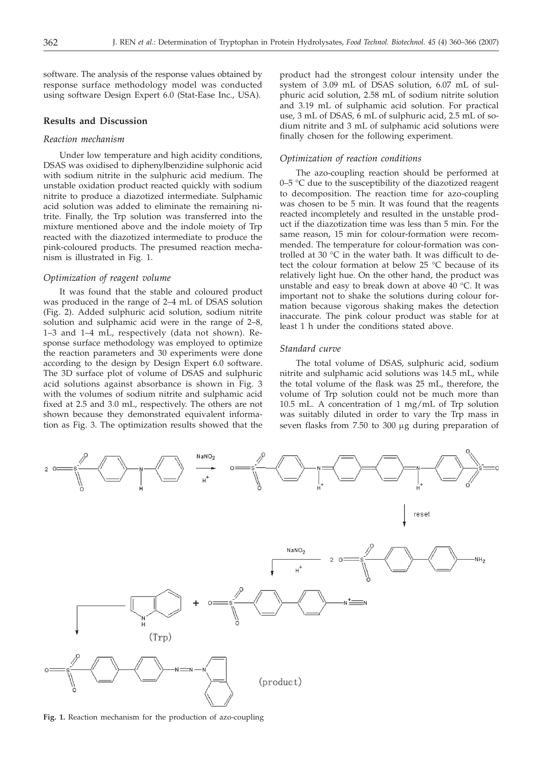software. The analysis of the response values obtained by response surface methodology model was conducted using software Design Expert 6.0 (Stat-Ease Inc., USA).

# **Results and Discussion**

# *Reaction mechanism*

Under low temperature and high acidity conditions, DSAS was oxidised to diphenylbenzidine sulphonic acid with sodium nitrite in the sulphuric acid medium. The unstable oxidation product reacted quickly with sodium nitrite to produce a diazotized intermediate. Sulphamic acid solution was added to eliminate the remaining nitrite. Finally, the Trp solution was transferred into the mixture mentioned above and the indole moiety of Trp reacted with the diazotized intermediate to produce the pink-coloured products. The presumed reaction mechanism is illustrated in Fig. 1.

## *Optimization of reagent volume*

It was found that the stable and coloured product was produced in the range of 2–4 mL of DSAS solution (Fig. 2). Added sulphuric acid solution, sodium nitrite solution and sulphamic acid were in the range of 2–8, 1–3 and 1–4 mL, respectively (data not shown). Response surface methodology was employed to optimize the reaction parameters and 30 experiments were done according to the design by Design Expert 6.0 software. The 3D surface plot of volume of DSAS and sulphuric acid solutions against absorbance is shown in Fig. 3 with the volumes of sodium nitrite and sulphamic acid fixed at 2.5 and 3.0 mL, respectively. The others are not shown because they demonstrated equivalent information as Fig. 3. The optimization results showed that the

product had the strongest colour intensity under the system of 3.09 mL of DSAS solution, 6.07 mL of sulphuric acid solution, 2.58 mL of sodium nitrite solution and 3.19 mL of sulphamic acid solution. For practical use, 3 mL of DSAS, 6 mL of sulphuric acid, 2.5 mL of sodium nitrite and 3 mL of sulphamic acid solutions were finally chosen for the following experiment.

## *Optimization of reaction conditions*

The azo-coupling reaction should be performed at 0–5  $\degree$ C due to the susceptibility of the diazotized reagent to decomposition. The reaction time for azo-coupling was chosen to be 5 min. It was found that the reagents reacted incompletely and resulted in the unstable product if the diazotization time was less than 5 min. For the same reason, 15 min for colour-formation were recommended. The temperature for colour-formation was controlled at 30 °C in the water bath. It was difficult to detect the colour formation at below 25 °C because of its relatively light hue. On the other hand, the product was unstable and easy to break down at above 40 °C. It was important not to shake the solutions during colour formation because vigorous shaking makes the detection inaccurate. The pink colour product was stable for at least 1 h under the conditions stated above.

# *Standard curve*

The total volume of DSAS, sulphuric acid, sodium nitrite and sulphamic acid solutions was 14.5 mL, while the total volume of the flask was 25 mL, therefore, the volume of Trp solution could not be much more than 10.5 mL. A concentration of 1 mg/mL of Trp solution was suitably diluted in order to vary the Trp mass in seven flasks from 7.50 to 300 µg during preparation of



**Fig. 1.** Reaction mechanism for the production of azo-coupling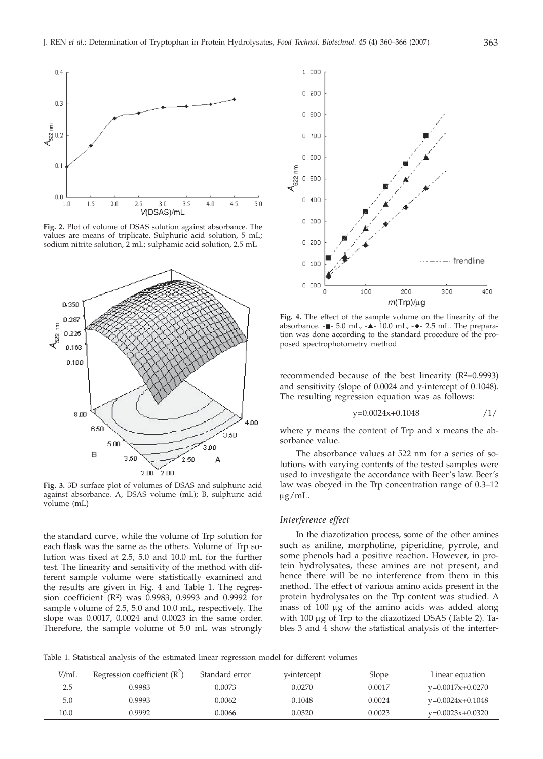

**Fig. 2.** Plot of volume of DSAS solution against absorbance. The values are means of triplicate. Sulphuric acid solution, 5 mL; sodium nitrite solution, 2 mL; sulphamic acid solution, 2.5 mL



**Fig. 3.** 3D surface plot of volumes of DSAS and sulphuric acid against absorbance. A, DSAS volume (mL); B, sulphuric acid volume (mL)

the standard curve, while the volume of Trp solution for each flask was the same as the others. Volume of Trp solution was fixed at 2.5, 5.0 and 10.0 mL for the further test. The linearity and sensitivity of the method with different sample volume were statistically examined and the results are given in Fig. 4 and Table 1. The regression coefficient  $(R^2)$  was 0.9983, 0.9993 and 0.9992 for sample volume of 2.5, 5.0 and 10.0 mL, respectively. The slope was 0.0017, 0.0024 and 0.0023 in the same order. Therefore, the sample volume of 5.0 mL was strongly



**Fig. 4.** The effect of the sample volume on the linearity of the absorbance.  $-$  - 5.0 mL,  $\triangle$ - 10.0 mL,  $\triangle$ - 2.5 mL. The preparation was done according to the standard procedure of the proposed spectrophotometry method

recommended because of the best linearity  $(R^2=0.9993)$ and sensitivity (slope of 0.0024 and y-intercept of 0.1048). The resulting regression equation was as follows:

$$
y=0.0024x+0.1048 \t/1
$$

where y means the content of Trp and x means the absorbance value.

The absorbance values at 522 nm for a series of solutions with varying contents of the tested samples were used to investigate the accordance with Beer's law. Beer's law was obeyed in the Trp concentration range of 0.3–12  $\mu$ g/mL.

## *Interference effect*

In the diazotization process, some of the other amines such as aniline, morpholine, piperidine, pyrrole, and some phenols had a positive reaction. However, in protein hydrolysates, these amines are not present, and hence there will be no interference from them in this method. The effect of various amino acids present in the protein hydrolysates on the Trp content was studied. A mass of 100 µg of the amino acids was added along with  $100 \mu g$  of Trp to the diazotized DSAS (Table 2). Tables 3 and 4 show the statistical analysis of the interfer-

Table 1. Statistical analysis of the estimated linear regression model for different volumes

| V/mL | Regression coefficient $(R^2)$ | Standard error | v-intercept | Slope  | Linear equation    |
|------|--------------------------------|----------------|-------------|--------|--------------------|
| 2.5  | 0.9983                         | 0.0073         | 0.0270      | 0.0017 | $v=0.0017x+0.0270$ |
| 5.0  | 0.9993                         | 0.0062         | 0.1048      | 0.0024 | $v=0.0024x+0.1048$ |
| 10.0 | 0.9992                         | 0.0066         | 0.0320      | 0.0023 | $v=0.0023x+0.0320$ |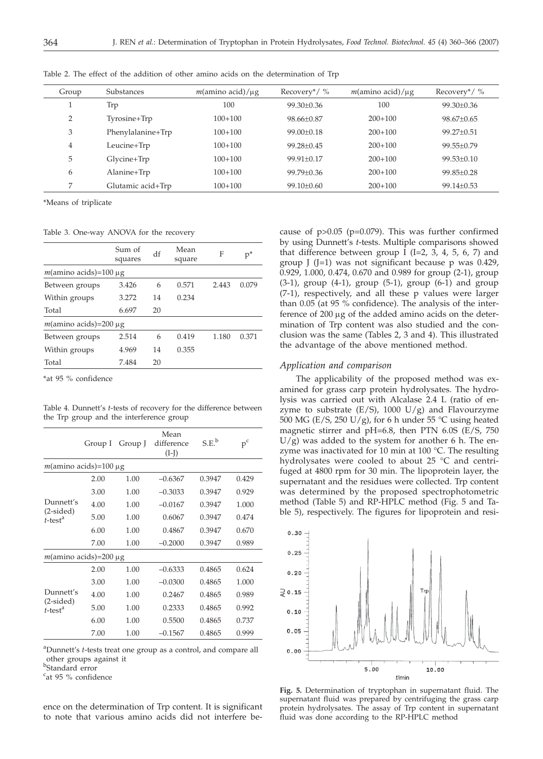| Group          | Substances        | $m(\text{amino acid})/\mu g$ | Recovery*/ $\%$  | $m(\text{amino acid})/\mu g$ | Recovery*/ $\%$  |
|----------------|-------------------|------------------------------|------------------|------------------------------|------------------|
|                | Trp               | 100                          | 99.30±0.36       | 100                          | 99.30±0.36       |
| $\overline{2}$ | Tyrosine+Trp      | $100+100$                    | 98.66±0.87       | $200+100$                    | $98.67+0.65$     |
| 3              | Phenylalanine+Trp | $100+100$                    | $99.00 \pm 0.18$ | $200+100$                    | 99.27±0.51       |
| 4              | Leucine+Trp       | $100+100$                    | $99.28 + 0.45$   | $200+100$                    | 99.55±0.79       |
| 5              | Glycine+Trp       | $100+100$                    | $99.91 + 0.17$   | $200+100$                    | $99.53+0.10$     |
| 6              | Alanine+Trp       | $100+100$                    | $99.79 + 0.36$   | $200+100$                    | $99.85 \pm 0.28$ |
| 7              | Glutamic acid+Trp | $100+100$                    | $99.10 \pm 0.60$ | $200+100$                    | $99.14 \pm 0.53$ |
|                |                   |                              |                  |                              |                  |

Table 2. The effect of the addition of other amino acids on the determination of Trp

\*Means of triplicate

Table 3. One-way ANOVA for the recovery

|                                           | Sum of<br>squares | df | Mean<br>square | F     | $p^*$ |
|-------------------------------------------|-------------------|----|----------------|-------|-------|
| $m(\text{amino acids}) = 100 \mu g$       |                   |    |                |       |       |
| Between groups                            | 3.426             | 6  | 0.571          | 2.443 | 0.079 |
| Within groups                             | 3.272             | 14 | 0.234          |       |       |
| Total                                     | 6.697             | 20 |                |       |       |
| $m(\text{amino acids}) = 200 \mu\text{g}$ |                   |    |                |       |       |
| Between groups                            | 2.514             | 6  | 0.419          | 1.180 | 0.371 |
| Within groups                             | 4.969             | 14 | 0.355          |       |       |
| Total                                     | 7.484             | 20 |                |       |       |

\*at 95 % confidence

Table 4. Dunnett's *t*-tests of recovery for the difference between the Trp group and the interference group

|                                       | Group I | Group J | Mean<br>difference<br>$(I-I)$ | S.E.   | $\mbox{\bf p}^{\mbox{\bf c}}$ |  |  |
|---------------------------------------|---------|---------|-------------------------------|--------|-------------------------------|--|--|
| $m(\text{amino acids}) = 100 \mu g$   |         |         |                               |        |                               |  |  |
|                                       | 2.00    | 1.00    | $-0.6367$                     | 0.3947 | 0.429                         |  |  |
|                                       | 3.00    | 1.00    | $-0.3033$                     | 0.3947 | 0.929                         |  |  |
| Dunnett's                             | 4.00    | 1.00    | $-0.0167$                     | 0.3947 | 1.000                         |  |  |
| $(2-sided)$<br>$t$ -test <sup>a</sup> | 5.00    | 1.00    | 0.6067                        | 0.3947 | 0.474                         |  |  |
|                                       | 6.00    | 1.00    | 0.4867                        | 0.3947 | 0.670                         |  |  |
|                                       | 7.00    | 1.00    | $-0.2000$                     | 0.3947 | 0.989                         |  |  |
| $m(\text{amino acids}) = 200 \mu g$   |         |         |                               |        |                               |  |  |
|                                       | 2.00    | 1.00    | $-0.6333$                     | 0.4865 | 0.624                         |  |  |
|                                       | 3.00    | 1.00    | $-0.0300$                     | 0.4865 | 1.000                         |  |  |
| Dunnett's                             | 4.00    | 1.00    | 0.2467                        | 0.4865 | 0.989                         |  |  |
| $(2-sided)$<br>$t$ -test <sup>a</sup> | 5.00    | 1.00    | 0.2333                        | 0.4865 | 0.992                         |  |  |
|                                       | 6.00    | 1.00    | 0.5500                        | 0.4865 | 0.737                         |  |  |
|                                       | 7.00    | 1.00    | $-0.1567$                     | 0.4865 | 0.999                         |  |  |

a Dunnett's *t*-tests treat one group as a control, and compare all other groups against it

b Standard error

<sup>c</sup>at 95 % confidence

ence on the determination of Trp content. It is significant to note that various amino acids did not interfere be-

cause of  $p > 0.05$  ( $p = 0.079$ ). This was further confirmed by using Dunnett's *t*-tests. Multiple comparisons showed that difference between group I (I=2, 3, 4, 5, 6, 7) and group  $\left[\right]$  (J=1) was not significant because p was 0.429, 0.929, 1.000, 0.474, 0.670 and 0.989 for group (2-1), group  $(3-1)$ , group  $(4-1)$ , group  $(5-1)$ , group  $(6-1)$  and group (7-1), respectively, and all these p values were larger than 0.05 (at 95 % confidence). The analysis of the interference of  $200 \mu g$  of the added amino acids on the determination of Trp content was also studied and the conclusion was the same (Tables 2, 3 and 4). This illustrated the advantage of the above mentioned method.

# *Application and comparison*

The applicability of the proposed method was examined for grass carp protein hydrolysates. The hydrolysis was carried out with Alcalase 2.4 L (ratio of enzyme to substrate  $(E/S)$ , 1000  $U/g$ ) and Flavourzyme 500 MG (E/S, 250 U/g), for 6 h under 55 °C using heated magnetic stirrer and pH=6.8, then PTN 6.0S (E/S, 750  $U/g$ ) was added to the system for another 6 h. The enzyme was inactivated for 10 min at 100 °C. The resulting hydrolysates were cooled to about 25 °C and centrifuged at 4800 rpm for 30 min. The lipoprotein layer, the supernatant and the residues were collected. Trp content was determined by the proposed spectrophotometric method (Table 5) and RP-HPLC method (Fig. 5 and Table 5), respectively. The figures for lipoprotein and resi-



**Fig. 5.** Determination of tryptophan in supernatant fluid. The supernatant fluid was prepared by centrifuging the grass carp protein hydrolysates. The assay of Trp content in supernatant fluid was done according to the RP-HPLC method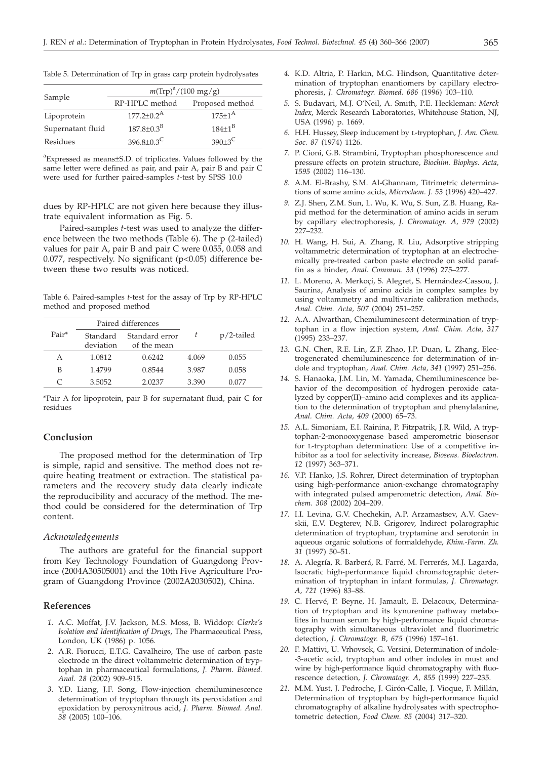|                   | $m(Trp)^{a}/(100 \text{ mg/g})$ |                 |  |  |
|-------------------|---------------------------------|-----------------|--|--|
| Sample            | RP-HPLC method                  | Proposed method |  |  |
| Lipoprotein       | $177.2 \pm 0.2^{\text{A}}$      | $175+1^{A}$     |  |  |
| Supernatant fluid | $187.8 \pm 0.3^{B}$             | $184+1^{B}$     |  |  |
| Residues          | $396.8 \pm 0.3^C$               | $390+3^C$       |  |  |

Table 5. Determination of Trp in grass carp protein hydrolysates

a Expressed as means±S.D. of triplicates. Values followed by the same letter were defined as pair, and pair A, pair B and pair C were used for further paired-samples *t*-test by SPSS 10.0

dues by RP-HPLC are not given here because they illustrate equivalent information as Fig. 5.

Paired-samples *t-*test was used to analyze the difference between the two methods (Table 6). The p (2-tailed) values for pair A, pair B and pair C were 0.055, 0.058 and 0.077, respectively. No significant (p<0.05) difference between these two results was noticed.

Table 6. Paired-samples *t*-test for the assay of Trp by RP-HPLC method and proposed method

|       |                       | Paired differences            |       |               |  |
|-------|-----------------------|-------------------------------|-------|---------------|--|
| Pair* | Standard<br>deviation | Standard error<br>of the mean |       | $p/2$ -tailed |  |
| А     | 1.0812                | 0.6242                        | 4.069 | 0.055         |  |
| В     | 1.4799                | 0.8544                        | 3.987 | 0.058         |  |
| C     | 3.5052                | 2.0237                        | 3.390 | 0.077         |  |

\*Pair A for lipoprotein, pair B for supernatant fluid, pair C for residues

## **Conclusion**

The proposed method for the determination of Trp is simple, rapid and sensitive. The method does not require heating treatment or extraction. The statistical parameters and the recovery study data clearly indicate the reproducibility and accuracy of the method. The method could be considered for the determination of Trp content.

# *Acknowledgements*

The authors are grateful for the financial support from Key Technology Foundation of Guangdong Province (2004A30505001) and the 10th Five Agriculture Program of Guangdong Province (2002A2030502), China.

# **References**

- *1.* A.C. Moffat, J.V. Jackson, M.S. Moss, B. Widdop: *Clarke's Isolation and Identification of Drugs*, The Pharmaceutical Press, London, UK (1986) p. 1056.
- *2.* A.R. Fiorucci, E.T.G. Cavalheiro, The use of carbon paste electrode in the direct voltammetric determination of tryptophan in pharmaceutical formulations, *J. Pharm. Biomed. Anal. 28* (2002) 909–915.
- *3.* Y.D. Liang, J.F. Song, Flow-injection chemiluminescence determination of tryptophan through its peroxidation and epoxidation by peroxynitrous acid, *J. Pharm. Biomed. Anal. 38* (2005) 100–106.
- *4.* K.D. Altria, P. Harkin, M.G. Hindson, Quantitative determination of tryptophan enantiomers by capillary electrophoresis, *J. Chromatogr. Biomed. 686* (1996) 103–110.
- *5.* S. Budavari, M.J. O'Neil, A. Smith, P.E. Heckleman: *Merck Index*, Merck Research Laboratories, Whitehouse Station, NJ, USA (1996) p. 1669.
- *6.* H.H. Hussey, Sleep inducement by L-tryptophan, *J. Am. Chem. Soc. 87* (1974) 1126.
- *7.* P. Cioni, G.B. Strambini, Tryptophan phosphorescence and pressure effects on protein structure, *Biochim. Biophys. Acta, 1595* (2002) 116–130.
- *8.* A.M. El-Brashy, S.M. Al-Ghannam, Titrimetric determinations of some amino acids, *Microchem. J. 53* (1996) 420–427.
- *9.* Z.J. Shen, Z.M. Sun, L. Wu, K. Wu, S. Sun, Z.B. Huang, Rapid method for the determination of amino acids in serum by capillary electrophoresis, *J. Chromatogr. A, 979* (2002) 227–232.
- *10.* H. Wang, H. Sui, A. Zhang, R. Liu, Adsorptive stripping voltammetric determination of tryptophan at an electrochemically pre-treated carbon paste electrode on solid paraffin as a binder, *Anal. Commun. 33* (1996) 275–277.
- *11.* L. Moreno, A. Merkoçi, S. Alegret, S. Hernández-Cassou, J. Saurina, Analysis of amino acids in complex samples by using voltammetry and multivariate calibration methods, *Anal. Chim. Acta, 507* (2004) 251–257.
- *12.* A.A. Alwarthan, Chemiluminescent determination of tryptophan in a flow injection system, *Anal. Chim. Acta, 317* (1995) 233–237.
- *13.* G.N. Chen, R.E. Lin, Z.F. Zhao, J.P. Duan, L. Zhang, Electrogenerated chemiluminescence for determination of indole and tryptophan, *Anal. Chim. Acta, 341* (1997) 251–256.
- *14.* S. Hanaoka, J.M. Lin, M. Yamada, Chemiluminescence behavior of the decomposition of hydrogen peroxide catalyzed by copper(II)–amino acid complexes and its application to the determination of tryptophan and phenylalanine, *Anal. Chim. Acta, 409* (2000) 65–73.
- *15.* A.L. Simoniam, E.I. Rainina, P. Fitzpatrik, J.R. Wild, A tryptophan-2-monooxygenase based amperometric biosensor for L-tryptophan determination: Use of a competitive inhibitor as a tool for selectivity increase, *Biosens. Bioelectron. 12* (1997) 363–371.
- *16.* V.P. Hanko, J.S. Rohrer, Direct determination of tryptophan using high-performance anion-exchange chromatography with integrated pulsed amperometric detection, *Anal. Biochem. 308* (2002) 204–209.
- *17.* I.I. Levina, G.V. Chechekin, A.P. Arzamastsev, A.V. Gaevskii, E.V. Degterev, N.B. Grigorev, Indirect polarographic determination of tryptophan, tryptamine and serotonin in aqueous organic solutions of formaldehyde, *Khim.-Farm. Zh. 31* (1997) 50–51.
- *18.* A. Alegría, R. Barberá, R. Farré, M. Ferrerés, M.J. Lagarda, Isocratic high-performance liquid chromatographic determination of tryptophan in infant formulas, *J. Chromatogr. A, 721* (1996) 83–88.
- *19.* C. Hervé, P. Beyne, H. Jamault, E. Delacoux, Determination of tryptophan and its kynurenine pathway metabolites in human serum by high-performance liquid chromatography with simultaneous ultraviolet and fluorimetric detection, *J. Chromatogr. B, 675* (1996) 157–161.
- *20.* F. Mattivi, U. Vrhovsek, G. Versini, Determination of indole- -3-acetic acid, tryptophan and other indoles in must and wine by high-performance liquid chromatography with fluorescence detection, *J. Chromatogr. A, 855* (1999) 227–235.
- *21.* M.M. Yust, J. Pedroche, J. Girón-Calle, J. Vioque, F. Millán, Determination of tryptophan by high-performance liquid chromatography of alkaline hydrolysates with spectrophotometric detection, *Food Chem. 85* (2004) 317–320.